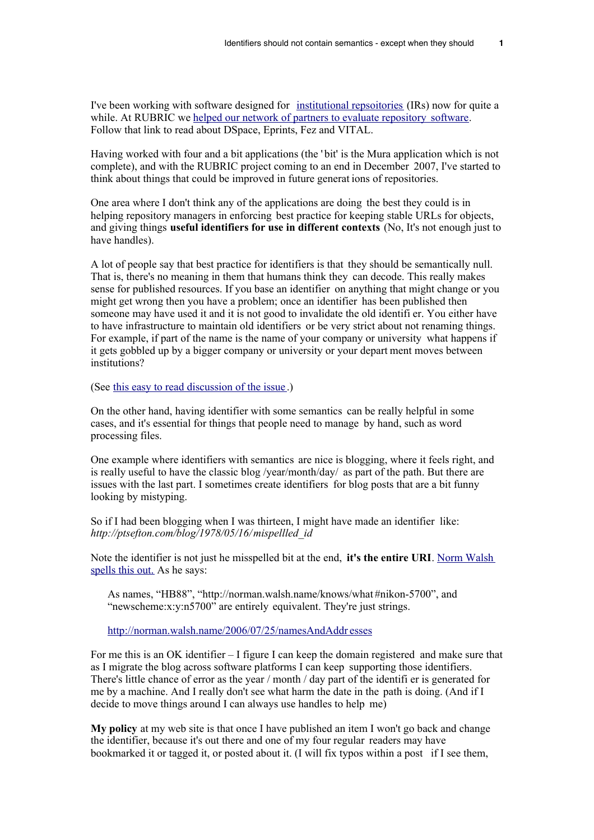I've been working with software designed for [institutional repsoitories](http://en.wikipedia.org/wiki/Institutional_Repository) (IRs) now for quite a while. At RUBRIC we [helped our network of partners to evaluate repository software.](http://rubric.edu.au/repositories/choosing_a_repository.htm) Follow that link to read about DSpace, Eprints, Fez and VITAL.

Having worked with four and a bit applications (the ' bit' is the Mura application which is not complete), and with the RUBRIC project coming to an end in December 2007, I've started to think about things that could be improved in future generat ions of repositories.

One area where I don't think any of the applications are doing the best they could is in helping repository managers in enforcing best practice for keeping stable URLs for objects. and giving things **useful identifiers for use in different contexts** (No, It's not enough just to have handles).

A lot of people say that best practice for identifiers is that they should be semantically null. That is, there's no meaning in them that humans think they can decode. This really makes sense for published resources. If you base an identifier on anything that might change or you might get wrong then you have a problem; once an identifier has been published then someone may have used it and it is not good to invalidate the old identifi er. You either have to have infrastructure to maintain old identifiers or be very strict about not renaming things. For example, if part of the name is the name of your company or university what happens if it gets gobbled up by a bigger company or university or your depart ment moves between institutions?

(See [this easy to read discussion of the issue](http://weibel-lines.typepad.com/weibelines/2006/02/identifier_ideo.html) .)

On the other hand, having identifier with some semantics can be really helpful in some cases, and it's essential for things that people need to manage by hand, such as word processing files.

One example where identifiers with semantics are nice is blogging, where it feels right, and is really useful to have the classic blog /year/month/day/ as part of the path. But there are issues with the last part. I sometimes create identifiers for blog posts that are a bit funny looking by mistyping.

So if I had been blogging when I was thirteen, I might have made an identifier like: *http://ptsefton.com/blog/1978/05/16/mispellled\_id* 

Note the identifier is not just he misspelled bit at the end, **it's the entire URI**. [Norm Walsh](http://norman.walsh.name/2006/07/25/namesAndAddresses) [spells this out.](http://norman.walsh.name/2006/07/25/namesAndAddresses) As he says:

As names, "HB88", "http://norman.walsh.name/knows/what #nikon-5700", and "newscheme:x:y:n5700" are entirely equivalent. They're just strings.

[http://norman.walsh.name/2006/07/25/namesAndAddr](http://norman.walsh.name/2006/07/25/namesAndAddresses) esses

For me this is an OK identifier – I figure I can keep the domain registered and make sure that as I migrate the blog across software platforms I can keep supporting those identifiers. There's little chance of error as the year / month / day part of the identifi er is generated for me by a machine. And I really don't see what harm the date in the path is doing. (And if I decide to move things around I can always use handles to help me)

**My policy** at my web site is that once I have published an item I won't go back and change the identifier, because it's out there and one of my four regular readers may have bookmarked it or tagged it, or posted about it. (I will fix typos within a post if I see them,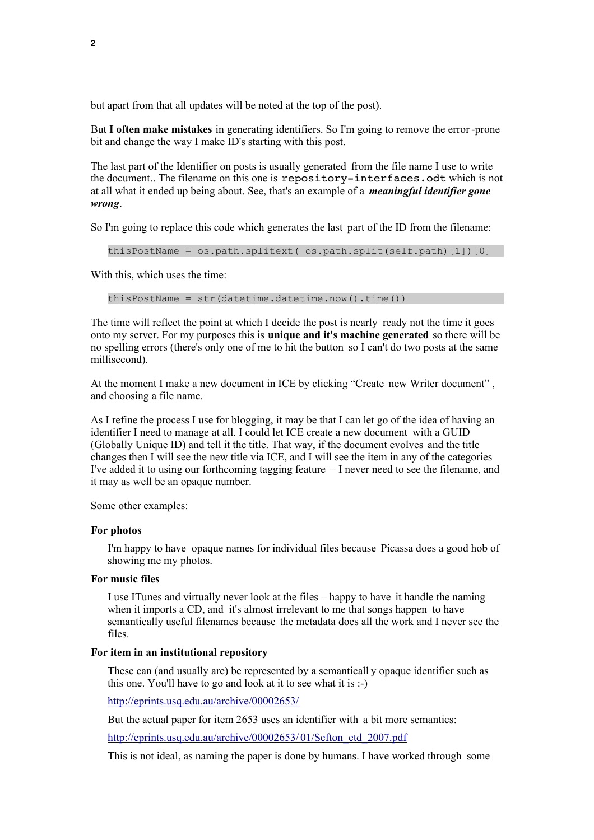but apart from that all updates will be noted at the top of the post).

But **I often make mistakes** in generating identifiers. So I'm going to remove the error -prone bit and change the way I make ID's starting with this post.

The last part of the Identifier on posts is usually generated from the file name I use to write the document.. The filename on this one is repository-interfaces.odt which is not at all what it ended up being about. See, that's an example of a *meaningful identifier gone wrong*.

So I'm going to replace this code which generates the last part of the ID from the filename:

thisPostName = os.path.splitext( os.path.split(self.path)[1])[0]

With this, which uses the time:

thisPostName = str(datetime.datetime.now().time())

The time will reflect the point at which I decide the post is nearly ready not the time it goes onto my server. For my purposes this is **unique and it's machine generated** so there will be no spelling errors (there's only one of me to hit the button so I can't do two posts at the same millisecond).

At the moment I make a new document in ICE by clicking "Create new Writer document" , and choosing a file name.

As I refine the process I use for blogging, it may be that I can let go of the idea of having an identifier I need to manage at all. I could let ICE create a new document with a GUID (Globally Unique ID) and tell it the title. That way, if the document evolves and the title changes then I will see the new title via ICE, and I will see the item in any of the categories I've added it to using our forthcoming tagging feature – I never need to see the filename, and it may as well be an opaque number.

Some other examples:

## **For photos**

I'm happy to have opaque names for individual files because Picassa does a good hob of showing me my photos.

## **For music files**

I use ITunes and virtually never look at the files – happy to have it handle the naming when it imports a CD, and it's almost irrelevant to me that songs happen to have semantically useful filenames because the metadata does all the work and I never see the files.

## **For item in an institutional repository**

These can (and usually are) be represented by a semanticall y opaque identifier such as this one. You'll have to go and look at it to see what it is :-)

<http://eprints.usq.edu.au/archive/00002653/>

But the actual paper for item 2653 uses an identifier with a bit more semantics:

[http://eprints.usq.edu.au/archive/00002653/](http://eprints.usq.edu.au/archive/00002653/01/Sefton_etd_2007.pdf) 01/Sefton\_etd\_2007.pdf

This is not ideal, as naming the paper is done by humans. I have worked through some